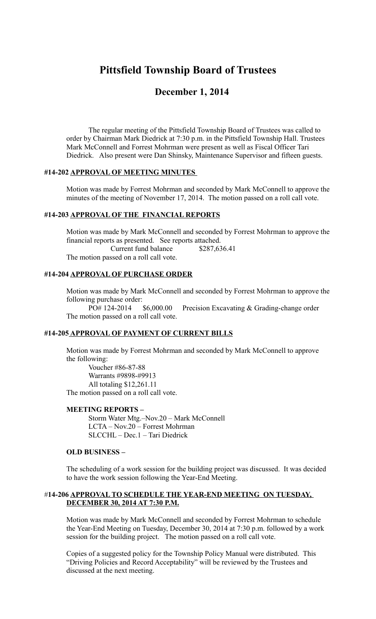# **Pittsfield Township Board of Trustees**

# **December 1, 2014**

The regular meeting of the Pittsfield Township Board of Trustees was called to order by Chairman Mark Diedrick at 7:30 p.m. in the Pittsfield Township Hall. Trustees Mark McConnell and Forrest Mohrman were present as well as Fiscal Officer Tari Diedrick. Also present were Dan Shinsky, Maintenance Supervisor and fifteen guests.

#### **#14-202 APPROVAL OF MEETING MINUTES**

Motion was made by Forrest Mohrman and seconded by Mark McConnell to approve the minutes of the meeting of November 17, 2014. The motion passed on a roll call vote.

#### **#14-203 APPROVAL OF THE FINANCIAL REPORTS**

Motion was made by Mark McConnell and seconded by Forrest Mohrman to approve the financial reports as presented. See reports attached. Current fund balance \$287,636.41 The motion passed on a roll call vote.

#### **#14-204 APPROVAL OF PURCHASE ORDER**

Motion was made by Mark McConnell and seconded by Forrest Mohrman to approve the following purchase order:

PO# 124-2014 \$6,000.00 Precision Excavating & Grading-change order The motion passed on a roll call vote.

# **#14-205 APPROVAL OF PAYMENT OF CURRENT BILLS**

Motion was made by Forrest Mohrman and seconded by Mark McConnell to approve the following:

Voucher #86-87-88 Warrants #9898-#9913 All totaling \$12,261.11 The motion passed on a roll call vote.

#### **MEETING REPORTS –**

 Storm Water Mtg.–Nov.20 – Mark McConnell LCTA – Nov.20 – Forrest Mohrman SLCCHL – Dec.1 – Tari Diedrick

#### **OLD BUSINESS –**

The scheduling of a work session for the building project was discussed. It was decided to have the work session following the Year-End Meeting.

# #**14-206 APPROVAL TO SCHEDULE THE YEAR-END MEETING ON TUESDAY, DECEMBER 30, 2014 AT 7:30 P.M.**

Motion was made by Mark McConnell and seconded by Forrest Mohrman to schedule the Year-End Meeting on Tuesday, December 30, 2014 at 7:30 p.m. followed by a work session for the building project. The motion passed on a roll call vote.

Copies of a suggested policy for the Township Policy Manual were distributed. This "Driving Policies and Record Acceptability" will be reviewed by the Trustees and discussed at the next meeting.